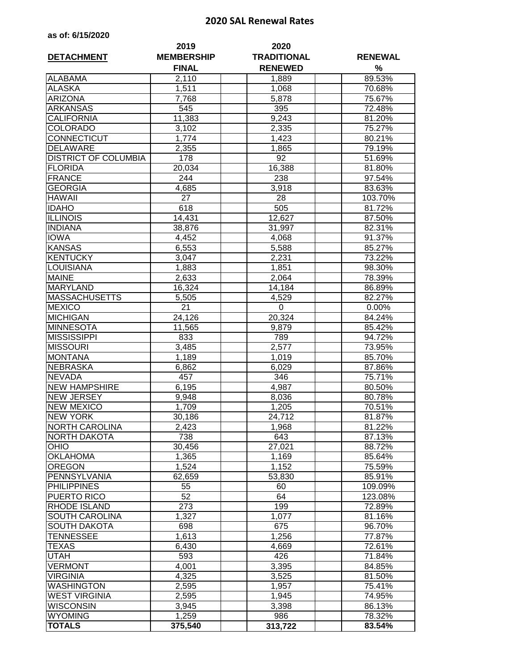## **2020 SAL Renewal Rates**

|  | as of: 6/15/2020 |  |  |  |  |
|--|------------------|--|--|--|--|
|--|------------------|--|--|--|--|

| <b>DETACHMENT</b>           | 2019<br><b>MEMBERSHIP</b><br><b>FINAL</b> | 2020<br><b>TRADITIONAL</b><br><b>RENEWED</b> | <b>RENEWAL</b><br>% |  |
|-----------------------------|-------------------------------------------|----------------------------------------------|---------------------|--|
| <b>ALABAMA</b>              | 2,110                                     | 1,889                                        | 89.53%              |  |
| <b>ALASKA</b>               | 1,511                                     | 1,068                                        | 70.68%              |  |
| <b>ARIZONA</b>              | 7,768                                     | 5,878                                        | 75.67%              |  |
| <b>ARKANSAS</b>             | 545                                       | 395                                          | 72.48%              |  |
| <b>CALIFORNIA</b>           | 11,383                                    | 9,243                                        | 81.20%              |  |
| <b>COLORADO</b>             | 3,102                                     | 2,335                                        | 75.27%              |  |
| <b>CONNECTICUT</b>          | 1,774                                     | 1,423                                        | 80.21%              |  |
| <b>DELAWARE</b>             | 2,355                                     | 1,865                                        | 79.19%              |  |
| <b>DISTRICT OF COLUMBIA</b> | 178                                       | 92                                           | 51.69%              |  |
| <b>FLORIDA</b>              | 20,034                                    | 16,388                                       | 81.80%              |  |
| <b>FRANCE</b>               | 244                                       | 238                                          | 97.54%              |  |
| <b>GEORGIA</b>              | 4,685                                     | 3,918                                        | 83.63%              |  |
| <b>HAWAII</b>               | 27                                        | 28                                           | 103.70%             |  |
| <b>IDAHO</b>                | 618                                       | 505                                          | 81.72%              |  |
| <b>ILLINOIS</b>             | 14,431                                    | 12,627                                       | 87.50%              |  |
| <b>INDIANA</b>              | 38,876                                    | 31,997                                       | 82.31%              |  |
| <b>IOWA</b>                 | 4,452                                     | 4,068                                        | 91.37%              |  |
| <b>KANSAS</b>               | 6,553                                     | 5,588                                        | 85.27%              |  |
| <b>KENTUCKY</b>             | 3,047                                     | 2,231                                        | 73.22%              |  |
| <b>LOUISIANA</b>            | 1,883                                     | 1,851                                        | 98.30%              |  |
| <b>MAINE</b>                | 2,633                                     | 2,064                                        | 78.39%              |  |
| <b>MARYLAND</b>             | 16,324                                    | 14,184                                       | 86.89%              |  |
| <b>MASSACHUSETTS</b>        | 5,505                                     | 4,529                                        | 82.27%              |  |
| <b>MEXICO</b>               | 21                                        | 0                                            | 0.00%               |  |
| <b>MICHIGAN</b>             | 24,126                                    | 20,324                                       | 84.24%              |  |
| <b>MINNESOTA</b>            | 11,565                                    | 9,879                                        | 85.42%              |  |
| <b>MISSISSIPPI</b>          | 833                                       | 789                                          | 94.72%              |  |
| <b>MISSOURI</b>             | 3,485                                     | 2,577                                        | 73.95%              |  |
| <b>MONTANA</b>              | 1,189                                     | 1,019                                        | 85.70%              |  |
| <b>NEBRASKA</b>             | 6,862                                     | 6,029                                        | 87.86%              |  |
| <b>NEVADA</b>               | 457                                       | 346                                          | 75.71%              |  |
| <b>NEW HAMPSHIRE</b>        | 6,195                                     | 4,987                                        | 80.50%              |  |
| <b>NEW JERSEY</b>           | 9,948                                     | 8,036                                        | 80.78%              |  |
| <b>NEW MEXICO</b>           | 1,709                                     | 1,205                                        | 70.51%              |  |
| <b>NEW YORK</b>             | 30,186                                    | 24,712                                       | 81.87%              |  |
| <b>NORTH CAROLINA</b>       | 2,423                                     | 1,968                                        | 81.22%              |  |
| <b>NORTH DAKOTA</b>         | 738                                       | 643                                          | 87.13%              |  |
| <b>OHIO</b>                 | 30,456                                    | 27,021                                       | 88.72%              |  |
| <b>OKLAHOMA</b>             | 1,365                                     | 1,169                                        | 85.64%              |  |
| <b>OREGON</b>               | 1,524                                     | 1,152                                        | 75.59%              |  |
| PENNSYLVANIA                | 62,659                                    | 53,830                                       | 85.91%              |  |
| <b>PHILIPPINES</b>          | 55                                        | 60                                           | 109.09%             |  |
| PUERTO RICO                 | 52                                        | 64                                           | 123.08%             |  |
| <b>RHODE ISLAND</b>         | 273                                       | 199                                          | 72.89%              |  |
| <b>SOUTH CAROLINA</b>       | 1,327                                     | 1,077                                        | 81.16%              |  |
| <b>SOUTH DAKOTA</b>         | 698                                       | 675                                          | 96.70%              |  |
| <b>TENNESSEE</b>            | 1,613                                     | 1,256                                        | 77.87%              |  |
| <b>TEXAS</b>                | 6,430                                     | 4,669                                        | 72.61%              |  |
| <b>UTAH</b>                 | 593                                       | 426                                          | 71.84%              |  |
| <b>VERMONT</b>              | 4,001                                     | 3,395                                        | 84.85%              |  |
| <b>VIRGINIA</b>             | 4,325                                     | 3,525                                        | 81.50%              |  |
| <b>WASHINGTON</b>           | 2,595                                     | 1,957                                        | 75.41%              |  |
| <b>WEST VIRGINIA</b>        | 2,595                                     | 1,945                                        | 74.95%              |  |
| <b>WISCONSIN</b>            | 3,945                                     | 3,398                                        | 86.13%              |  |
| <b>WYOMING</b>              | 1,259                                     | 986                                          | 78.32%              |  |
| <b>TOTALS</b>               | 375,540                                   | 313,722                                      | 83.54%              |  |